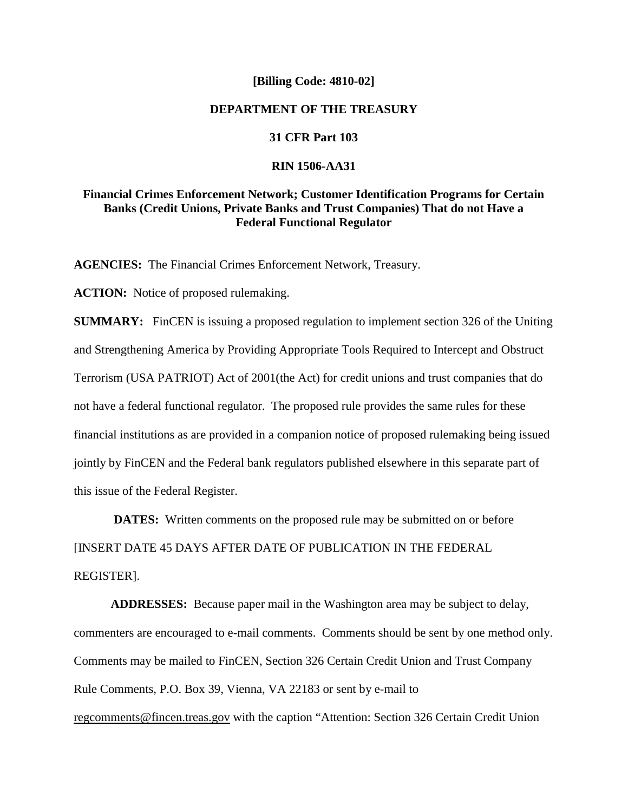#### **[Billing Code: 4810-02]**

## **DEPARTMENT OF THE TREASURY**

#### **31 CFR Part 103**

### **RIN 1506-AA31**

## **Financial Crimes Enforcement Network; Customer Identification Programs for Certain Banks (Credit Unions, Private Banks and Trust Companies) That do not Have a Federal Functional Regulator**

**AGENCIES:** The Financial Crimes Enforcement Network, Treasury.

**ACTION:** Notice of proposed rulemaking.

**SUMMARY:** FinCEN is issuing a proposed regulation to implement section 326 of the Uniting and Strengthening America by Providing Appropriate Tools Required to Intercept and Obstruct Terrorism (USA PATRIOT) Act of 2001(the Act) for credit unions and trust companies that do not have a federal functional regulator. The proposed rule provides the same rules for these financial institutions as are provided in a companion notice of proposed rulemaking being issued jointly by FinCEN and the Federal bank regulators published elsewhere in this separate part of this issue of the Federal Register.

**DATES:** Written comments on the proposed rule may be submitted on or before [INSERT DATE 45 DAYS AFTER DATE OF PUBLICATION IN THE FEDERAL REGISTER].

**ADDRESSES:** Because paper mail in the Washington area may be subject to delay, commenters are encouraged to e-mail comments. Comments should be sent by one method only. Comments may be mailed to FinCEN, Section 326 Certain Credit Union and Trust Company Rule Comments, P.O. Box 39, Vienna, VA 22183 or sent by e-mail to regcomments@fincen.treas.gov with the caption "Attention: Section 326 Certain Credit Union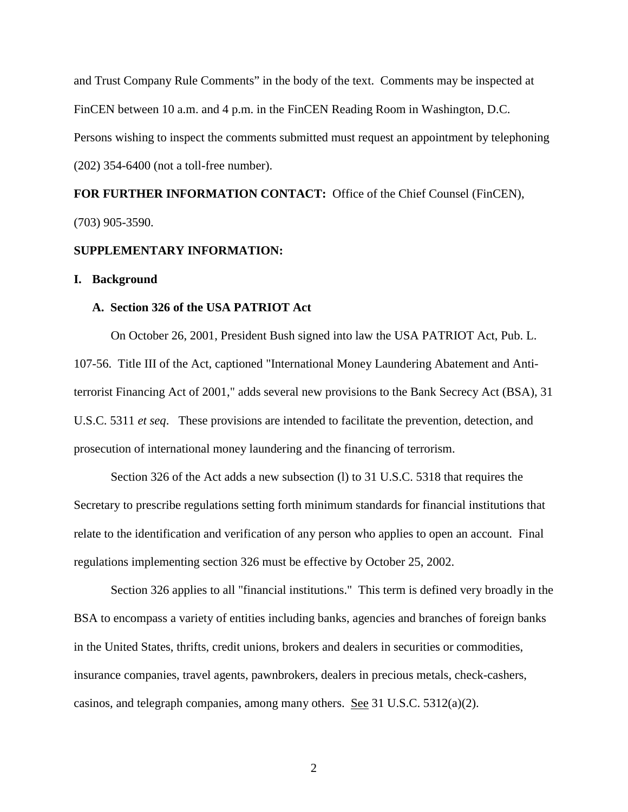and Trust Company Rule Comments" in the body of the text. Comments may be inspected at FinCEN between 10 a.m. and 4 p.m. in the FinCEN Reading Room in Washington, D.C. Persons wishing to inspect the comments submitted must request an appointment by telephoning (202) 354-6400 (not a toll-free number).

# **FOR FURTHER INFORMATION CONTACT:** Office of the Chief Counsel (FinCEN), (703) 905-3590.

### **SUPPLEMENTARY INFORMATION:**

#### **I. Background**

#### **A. Section 326 of the USA PATRIOT Act**

On October 26, 2001, President Bush signed into law the USA PATRIOT Act, Pub. L. 107-56. Title III of the Act, captioned "International Money Laundering Abatement and Antiterrorist Financing Act of 2001," adds several new provisions to the Bank Secrecy Act (BSA), 31 U.S.C. 5311 *et seq*. These provisions are intended to facilitate the prevention, detection, and prosecution of international money laundering and the financing of terrorism.

Section 326 of the Act adds a new subsection (l) to 31 U.S.C. 5318 that requires the Secretary to prescribe regulations setting forth minimum standards for financial institutions that relate to the identification and verification of any person who applies to open an account. Final regulations implementing section 326 must be effective by October 25, 2002.

Section 326 applies to all "financial institutions." This term is defined very broadly in the BSA to encompass a variety of entities including banks, agencies and branches of foreign banks in the United States, thrifts, credit unions, brokers and dealers in securities or commodities, insurance companies, travel agents, pawnbrokers, dealers in precious metals, check-cashers, casinos, and telegraph companies, among many others. See 31 U.S.C. 5312(a)(2).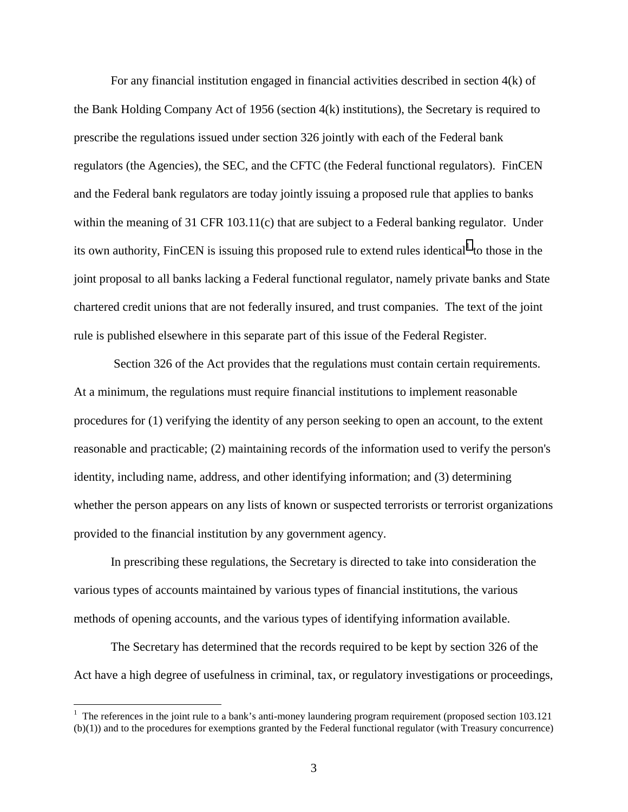For any financial institution engaged in financial activities described in section 4(k) of the Bank Holding Company Act of 1956 (section 4(k) institutions), the Secretary is required to prescribe the regulations issued under section 326 jointly with each of the Federal bank regulators (the Agencies), the SEC, and the CFTC (the Federal functional regulators). FinCEN and the Federal bank regulators are today jointly issuing a proposed rule that applies to banks within the meaning of 31 CFR 103.11(c) that are subject to a Federal banking regulator. Under its own authority, FinCEN is issuing this proposed rule to extend rules identical<sup>1</sup> to those in the joint proposal to all banks lacking a Federal functional regulator, namely private banks and State chartered credit unions that are not federally insured, and trust companies. The text of the joint rule is published elsewhere in this separate part of this issue of the Federal Register.

 Section 326 of the Act provides that the regulations must contain certain requirements. At a minimum, the regulations must require financial institutions to implement reasonable procedures for (1) verifying the identity of any person seeking to open an account, to the extent reasonable and practicable; (2) maintaining records of the information used to verify the person's identity, including name, address, and other identifying information; and (3) determining whether the person appears on any lists of known or suspected terrorists or terrorist organizations provided to the financial institution by any government agency.

In prescribing these regulations, the Secretary is directed to take into consideration the various types of accounts maintained by various types of financial institutions, the various methods of opening accounts, and the various types of identifying information available.

The Secretary has determined that the records required to be kept by section 326 of the Act have a high degree of usefulness in criminal, tax, or regulatory investigations or proceedings,

<u>.</u>

 $1$  The references in the joint rule to a bank's anti-money laundering program requirement (proposed section 103.121) (b)(1)) and to the procedures for exemptions granted by the Federal functional regulator (with Treasury concurrence)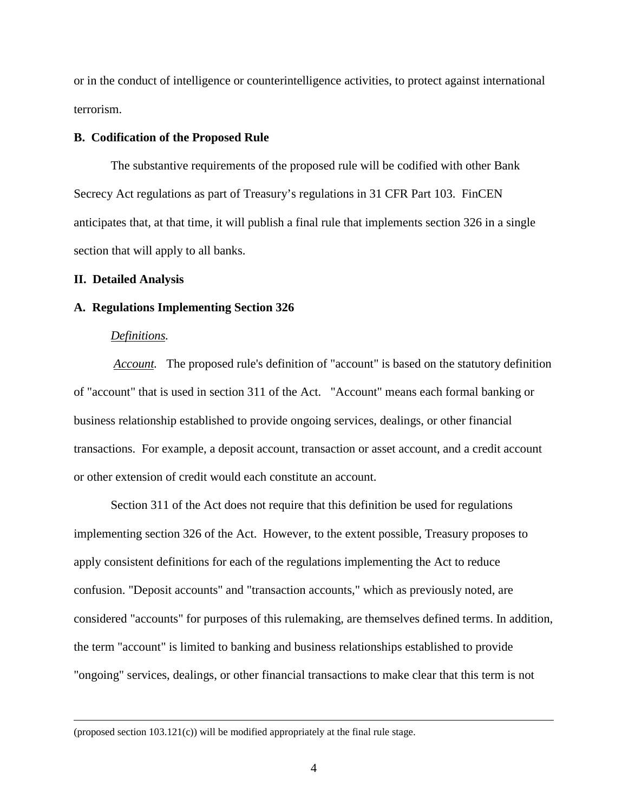or in the conduct of intelligence or counterintelligence activities, to protect against international terrorism.

#### **B. Codification of the Proposed Rule**

The substantive requirements of the proposed rule will be codified with other Bank Secrecy Act regulations as part of Treasury's regulations in 31 CFR Part 103. FinCEN anticipates that, at that time, it will publish a final rule that implements section 326 in a single section that will apply to all banks.

#### **II. Detailed Analysis**

#### **A. Regulations Implementing Section 326**

### *Definitions.*

 $\overline{a}$ 

 *Account.* The proposed rule's definition of "account" is based on the statutory definition of "account" that is used in section 311 of the Act. "Account" means each formal banking or business relationship established to provide ongoing services, dealings, or other financial transactions. For example, a deposit account, transaction or asset account, and a credit account or other extension of credit would each constitute an account.

 Section 311 of the Act does not require that this definition be used for regulations implementing section 326 of the Act. However, to the extent possible, Treasury proposes to apply consistent definitions for each of the regulations implementing the Act to reduce confusion. "Deposit accounts" and "transaction accounts," which as previously noted, are considered "accounts" for purposes of this rulemaking, are themselves defined terms. In addition, the term "account" is limited to banking and business relationships established to provide "ongoing" services, dealings, or other financial transactions to make clear that this term is not

(proposed section 103.121(c)) will be modified appropriately at the final rule stage.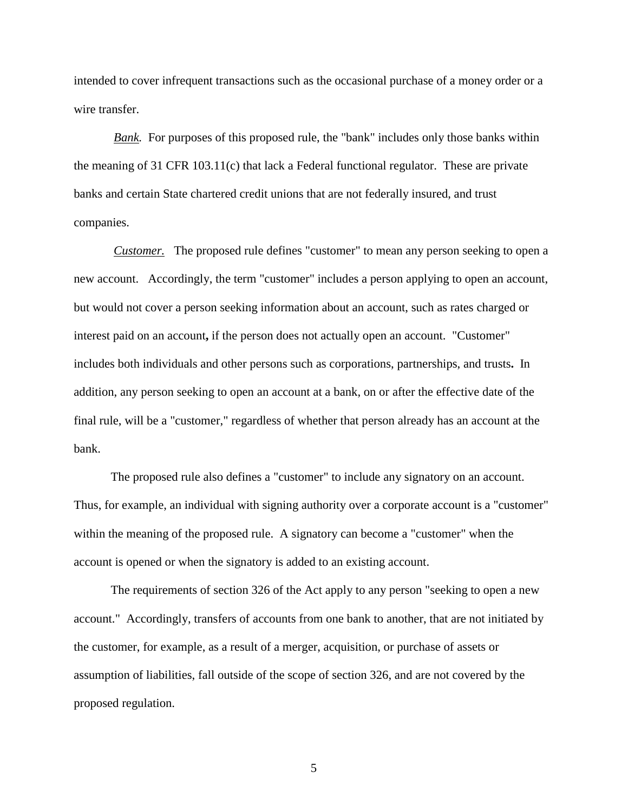intended to cover infrequent transactions such as the occasional purchase of a money order or a wire transfer.

*Bank.* For purposes of this proposed rule, the "bank" includes only those banks within the meaning of 31 CFR 103.11(c) that lack a Federal functional regulator. These are private banks and certain State chartered credit unions that are not federally insured, and trust companies.

 *Customer.* The proposed rule defines "customer" to mean any person seeking to open a new account. Accordingly, the term "customer" includes a person applying to open an account, but would not cover a person seeking information about an account, such as rates charged or interest paid on an account**,** if the person does not actually open an account. "Customer" includes both individuals and other persons such as corporations, partnerships, and trusts**.** In addition, any person seeking to open an account at a bank, on or after the effective date of the final rule, will be a "customer," regardless of whether that person already has an account at the bank.

The proposed rule also defines a "customer" to include any signatory on an account. Thus, for example, an individual with signing authority over a corporate account is a "customer" within the meaning of the proposed rule. A signatory can become a "customer" when the account is opened or when the signatory is added to an existing account.

The requirements of section 326 of the Act apply to any person "seeking to open a new account." Accordingly, transfers of accounts from one bank to another, that are not initiated by the customer, for example, as a result of a merger, acquisition, or purchase of assets or assumption of liabilities, fall outside of the scope of section 326, and are not covered by the proposed regulation.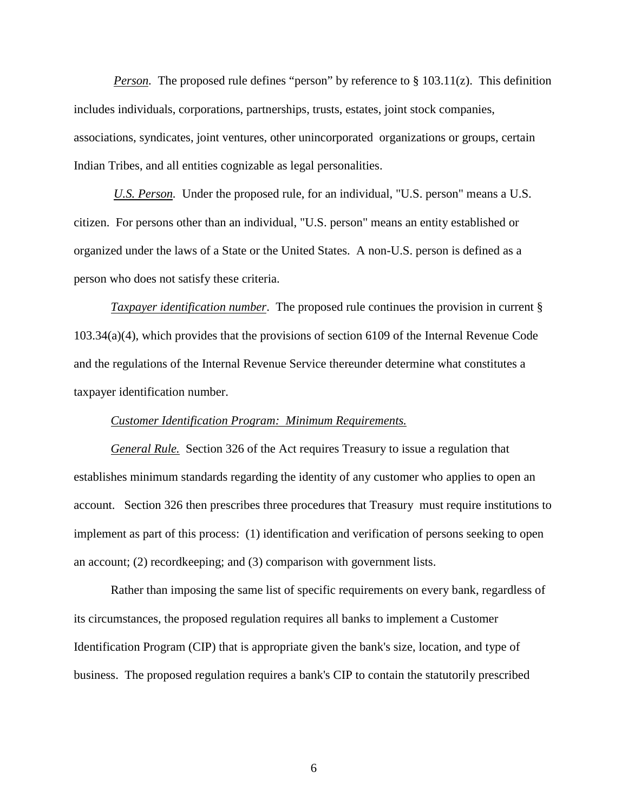*Person.* The proposed rule defines "person" by reference to § 103.11(z). This definition includes individuals, corporations, partnerships, trusts, estates, joint stock companies, associations, syndicates, joint ventures, other unincorporated organizations or groups, certain Indian Tribes, and all entities cognizable as legal personalities.

 *U.S. Person.* Under the proposed rule, for an individual, "U.S. person" means a U.S. citizen. For persons other than an individual, "U.S. person" means an entity established or organized under the laws of a State or the United States. A non-U.S. person is defined as a person who does not satisfy these criteria.

*Taxpayer identification number*. The proposed rule continues the provision in current § 103.34(a)(4), which provides that the provisions of section 6109 of the Internal Revenue Code and the regulations of the Internal Revenue Service thereunder determine what constitutes a taxpayer identification number.

#### *Customer Identification Program: Minimum Requirements.*

*General Rule.* Section 326 of the Act requires Treasury to issue a regulation that establishes minimum standards regarding the identity of any customer who applies to open an account. Section 326 then prescribes three procedures that Treasury must require institutions to implement as part of this process: (1) identification and verification of persons seeking to open an account; (2) recordkeeping; and (3) comparison with government lists.

Rather than imposing the same list of specific requirements on every bank, regardless of its circumstances, the proposed regulation requires all banks to implement a Customer Identification Program (CIP) that is appropriate given the bank's size, location, and type of business. The proposed regulation requires a bank's CIP to contain the statutorily prescribed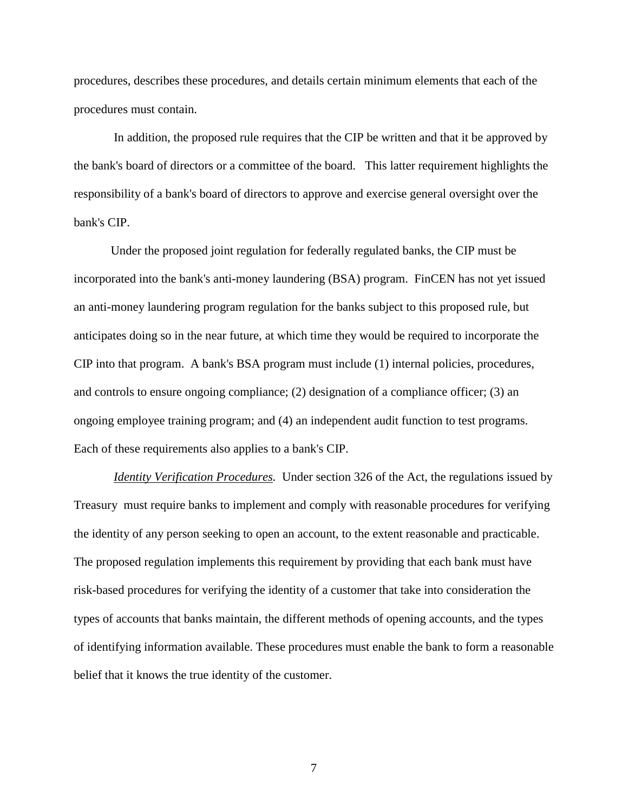procedures, describes these procedures, and details certain minimum elements that each of the procedures must contain.

 In addition, the proposed rule requires that the CIP be written and that it be approved by the bank's board of directors or a committee of the board. This latter requirement highlights the responsibility of a bank's board of directors to approve and exercise general oversight over the bank's CIP.

Under the proposed joint regulation for federally regulated banks, the CIP must be incorporated into the bank's anti-money laundering (BSA) program. FinCEN has not yet issued an anti-money laundering program regulation for the banks subject to this proposed rule, but anticipates doing so in the near future, at which time they would be required to incorporate the CIP into that program. A bank's BSA program must include (1) internal policies, procedures, and controls to ensure ongoing compliance; (2) designation of a compliance officer; (3) an ongoing employee training program; and (4) an independent audit function to test programs. Each of these requirements also applies to a bank's CIP.

*Identity Verification Procedures.* Under section 326 of the Act, the regulations issued by Treasury must require banks to implement and comply with reasonable procedures for verifying the identity of any person seeking to open an account, to the extent reasonable and practicable. The proposed regulation implements this requirement by providing that each bank must have risk-based procedures for verifying the identity of a customer that take into consideration the types of accounts that banks maintain, the different methods of opening accounts, and the types of identifying information available. These procedures must enable the bank to form a reasonable belief that it knows the true identity of the customer.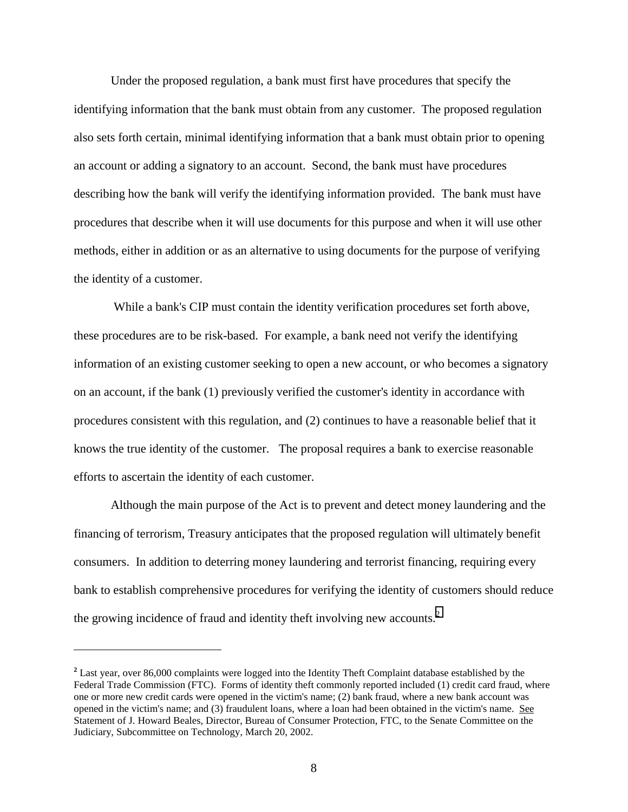Under the proposed regulation, a bank must first have procedures that specify the identifying information that the bank must obtain from any customer.The proposed regulation also sets forth certain, minimal identifying information that a bank must obtain prior to opening an account or adding a signatory to an account. Second, the bank must have procedures describing how the bank will verify the identifying information provided. The bank must have procedures that describe when it will use documents for this purpose and when it will use other methods, either in addition or as an alternative to using documents for the purpose of verifying the identity of a customer.

 While a bank's CIP must contain the identity verification procedures set forth above, these procedures are to be risk-based. For example, a bank need not verify the identifying information of an existing customer seeking to open a new account, or who becomes a signatory on an account, if the bank (1) previously verified the customer's identity in accordance with procedures consistent with this regulation, and (2) continues to have a reasonable belief that it knows the true identity of the customer. The proposal requires a bank to exercise reasonable efforts to ascertain the identity of each customer.

Although the main purpose of the Act is to prevent and detect money laundering and the financing of terrorism, Treasury anticipates that the proposed regulation will ultimately benefit consumers. In addition to deterring money laundering and terrorist financing, requiring every bank to establish comprehensive procedures for verifying the identity of customers should reduce the growing incidence of fraud and identity theft involving new accounts.<sup>2</sup>

 $\overline{a}$ 

**<sup>2</sup>** Last year, over 86,000 complaints were logged into the Identity Theft Complaint database established by the Federal Trade Commission (FTC). Forms of identity theft commonly reported included (1) credit card fraud, where one or more new credit cards were opened in the victim's name; (2) bank fraud, where a new bank account was opened in the victim's name; and (3) fraudulent loans, where a loan had been obtained in the victim's name. See Statement of J. Howard Beales, Director, Bureau of Consumer Protection, FTC, to the Senate Committee on the Judiciary, Subcommittee on Technology, March 20, 2002.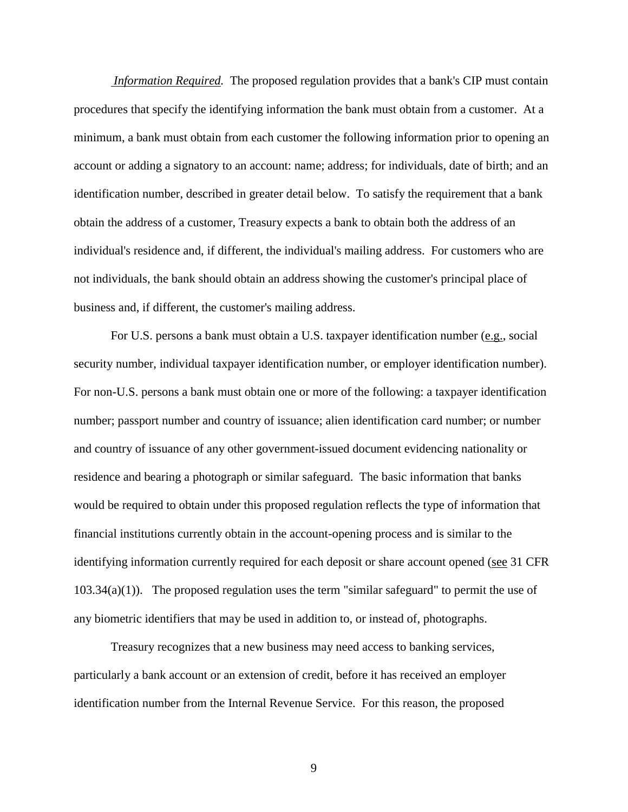*Information Required.* The proposed regulation provides that a bank's CIP must contain procedures that specify the identifying information the bank must obtain from a customer. At a minimum, a bank must obtain from each customer the following information prior to opening an account or adding a signatory to an account: name; address; for individuals, date of birth; and an identification number, described in greater detail below. To satisfy the requirement that a bank obtain the address of a customer, Treasury expects a bank to obtain both the address of an individual's residence and, if different, the individual's mailing address. For customers who are not individuals, the bank should obtain an address showing the customer's principal place of business and, if different, the customer's mailing address.

For U.S. persons a bank must obtain a U.S. taxpayer identification number (e.g., social security number, individual taxpayer identification number, or employer identification number). For non-U.S. persons a bank must obtain one or more of the following: a taxpayer identification number; passport number and country of issuance; alien identification card number; or number and country of issuance of any other government-issued document evidencing nationality or residence and bearing a photograph or similar safeguard. The basic information that banks would be required to obtain under this proposed regulation reflects the type of information that financial institutions currently obtain in the account-opening process and is similar to the identifying information currently required for each deposit or share account opened (see 31 CFR  $103.34(a)(1)$ . The proposed regulation uses the term "similar safeguard" to permit the use of any biometric identifiers that may be used in addition to, or instead of, photographs.

Treasury recognizes that a new business may need access to banking services, particularly a bank account or an extension of credit, before it has received an employer identification number from the Internal Revenue Service. For this reason, the proposed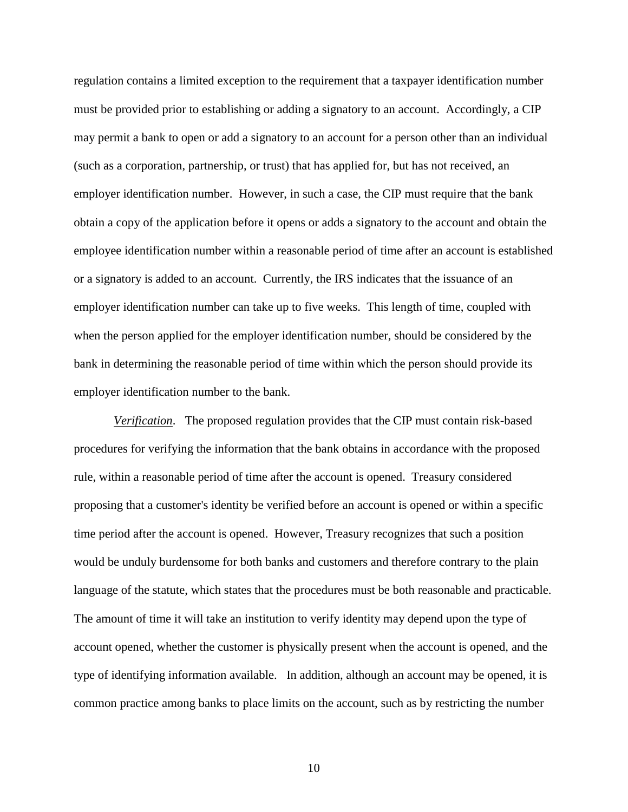regulation contains a limited exception to the requirement that a taxpayer identification number must be provided prior to establishing or adding a signatory to an account. Accordingly, a CIP may permit a bank to open or add a signatory to an account for a person other than an individual (such as a corporation, partnership, or trust) that has applied for, but has not received, an employer identification number. However, in such a case, the CIP must require that the bank obtain a copy of the application before it opens or adds a signatory to the account and obtain the employee identification number within a reasonable period of time after an account is established or a signatory is added to an account. Currently, the IRS indicates that the issuance of an employer identification number can take up to five weeks. This length of time, coupled with when the person applied for the employer identification number, should be considered by the bank in determining the reasonable period of time within which the person should provide its employer identification number to the bank.

 *Verification*. The proposed regulation provides that the CIP must contain risk-based procedures for verifying the information that the bank obtains in accordance with the proposed rule, within a reasonable period of time after the account is opened.Treasury considered proposing that a customer's identity be verified before an account is opened or within a specific time period after the account is opened. However, Treasury recognizes that such a position would be unduly burdensome for both banks and customers and therefore contrary to the plain language of the statute, which states that the procedures must be both reasonable and practicable. The amount of time it will take an institution to verify identity may depend upon the type of account opened, whether the customer is physically present when the account is opened, and the type of identifying information available. In addition, although an account may be opened, it is common practice among banks to place limits on the account, such as by restricting the number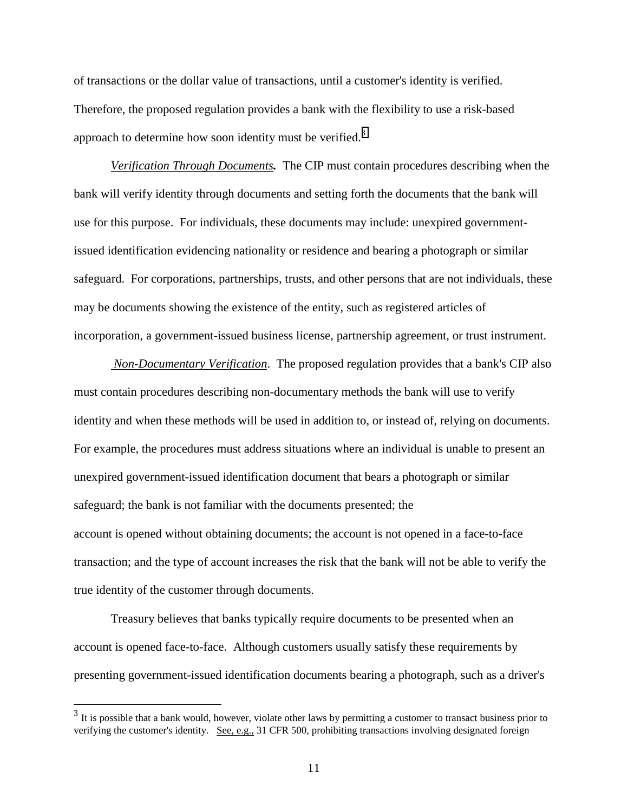of transactions or the dollar value of transactions, until a customer's identity is verified. Therefore, the proposed regulation provides a bank with the flexibility to use a risk-based approach to determine how soon identity must be verified.<sup>3</sup>

*Verification Through Documents.* The CIP must contain procedures describing when the bank will verify identity through documents and setting forth the documents that the bank will use for this purpose. For individuals, these documents may include: unexpired governmentissued identification evidencing nationality or residence and bearing a photograph or similar safeguard. For corporations, partnerships, trusts, and other persons that are not individuals, these may be documents showing the existence of the entity, such as registered articles of incorporation, a government-issued business license, partnership agreement, or trust instrument.

 *Non-Documentary Verification*. The proposed regulation provides that a bank's CIP also must contain procedures describing non-documentary methods the bank will use to verify identity and when these methods will be used in addition to, or instead of, relying on documents. For example, the procedures must address situations where an individual is unable to present an unexpired government-issued identification document that bears a photograph or similar safeguard; the bank is not familiar with the documents presented; the account is opened without obtaining documents; the account is not opened in a face-to-face transaction; and the type of account increases the risk that the bank will not be able to verify the true identity of the customer through documents.

Treasury believes that banks typically require documents to be presented when an account is opened face-to-face. Although customers usually satisfy these requirements by presenting government-issued identification documents bearing a photograph, such as a driver's

 $\overline{a}$ 

<sup>&</sup>lt;sup>3</sup> It is possible that a bank would, however, violate other laws by permitting a customer to transact business prior to verifying the customer's identity. See, e.g., 31 CFR 500, prohibiting transactions involving designated foreign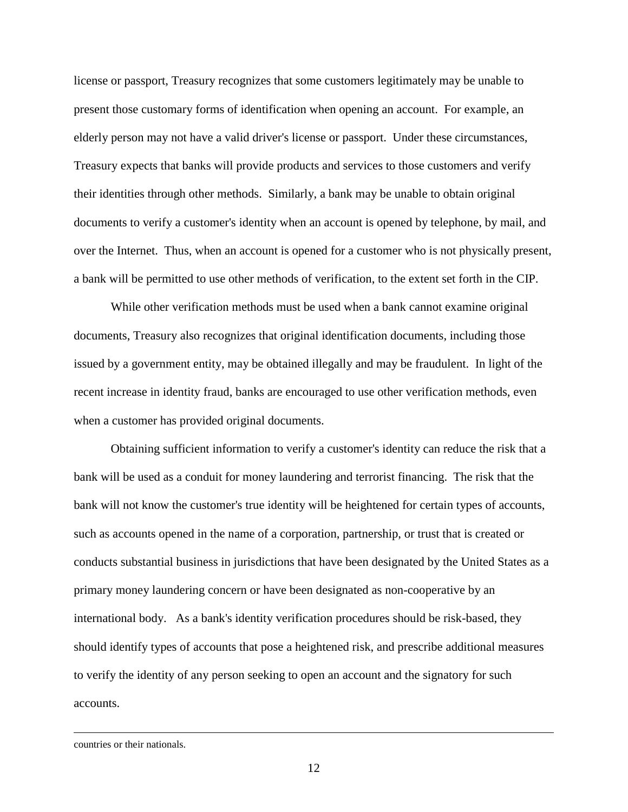license or passport, Treasury recognizes that some customers legitimately may be unable to present those customary forms of identification when opening an account. For example, an elderly person may not have a valid driver's license or passport. Under these circumstances, Treasury expects that banks will provide products and services to those customers and verify their identities through other methods. Similarly, a bank may be unable to obtain original documents to verify a customer's identity when an account is opened by telephone, by mail, and over the Internet. Thus, when an account is opened for a customer who is not physically present, a bank will be permitted to use other methods of verification, to the extent set forth in the CIP.

While other verification methods must be used when a bank cannot examine original documents, Treasury also recognizes that original identification documents, including those issued by a government entity, may be obtained illegally and may be fraudulent. In light of the recent increase in identity fraud, banks are encouraged to use other verification methods, even when a customer has provided original documents.

Obtaining sufficient information to verify a customer's identity can reduce the risk that a bank will be used as a conduit for money laundering and terrorist financing.The risk that the bank will not know the customer's true identity will be heightened for certain types of accounts, such as accounts opened in the name of a corporation, partnership, or trust that is created or conducts substantial business in jurisdictions that have been designated by the United States as a primary money laundering concern or have been designated as non-cooperative by an international body. As a bank's identity verification procedures should be risk-based, they should identify types of accounts that pose a heightened risk, and prescribe additional measures to verify the identity of any person seeking to open an account and the signatory for such accounts.

countries or their nationals.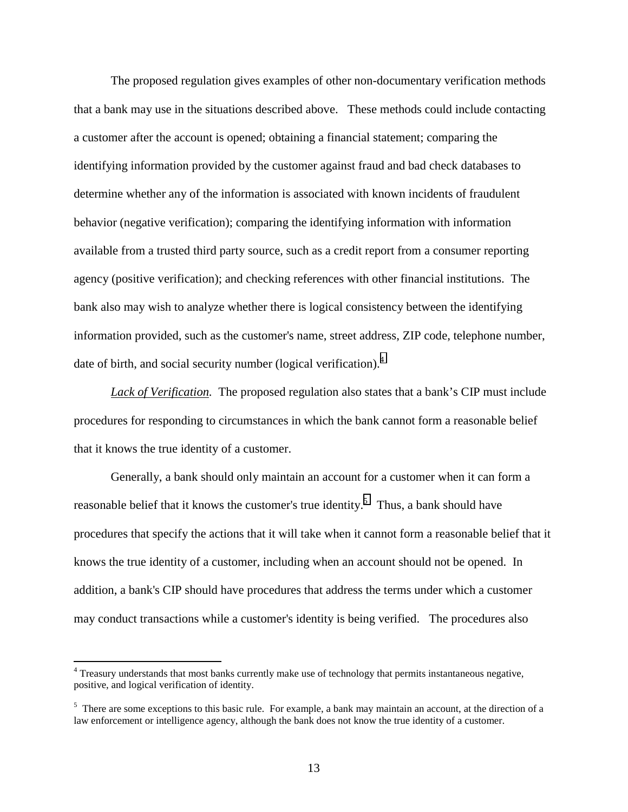The proposed regulation gives examples of other non-documentary verification methods that a bank may use in the situations described above. These methods could include contacting a customer after the account is opened; obtaining a financial statement; comparing the identifying information provided by the customer against fraud and bad check databases to determine whether any of the information is associated with known incidents of fraudulent behavior (negative verification); comparing the identifying information with information available from a trusted third party source, such as a credit report from a consumer reporting agency (positive verification); and checking references with other financial institutions. The bank also may wish to analyze whether there is logical consistency between the identifying information provided, such as the customer's name, street address, ZIP code, telephone number, date of birth, and social security number (logical verification).<sup>4</sup>

Lack of Verification. The proposed regulation also states that a bank's CIP must include procedures for responding to circumstances in which the bank cannot form a reasonable belief that it knows the true identity of a customer.

Generally, a bank should only maintain an account for a customer when it can form a reasonable belief that it knows the customer's true identity.<sup>5</sup> Thus, a bank should have procedures that specify the actions that it will take when it cannot form a reasonable belief that it knows the true identity of a customer, including when an account should not be opened. In addition, a bank's CIP should have procedures that address the terms under which a customer may conduct transactions while a customer's identity is being verified. The procedures also

 $\overline{a}$ 

<sup>&</sup>lt;sup>4</sup> Treasury understands that most banks currently make use of technology that permits instantaneous negative, positive, and logical verification of identity.

<sup>&</sup>lt;sup>5</sup> There are some exceptions to this basic rule. For example, a bank may maintain an account, at the direction of a law enforcement or intelligence agency, although the bank does not know the true identity of a customer.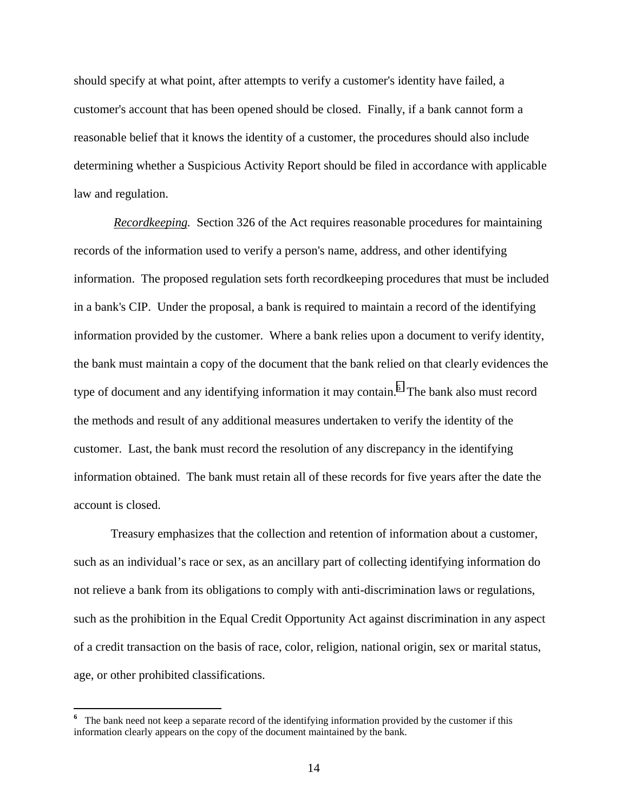should specify at what point, after attempts to verify a customer's identity have failed, a customer's account that has been opened should be closed. Finally, if a bank cannot form a reasonable belief that it knows the identity of a customer, the procedures should also include determining whether a Suspicious Activity Report should be filed in accordance with applicable law and regulation.

 *Recordkeeping.* Section 326 of the Act requires reasonable procedures for maintaining records of the information used to verify a person's name, address, and other identifying information. The proposed regulation sets forth recordkeeping procedures that must be included in a bank's CIP. Under the proposal, a bank is required to maintain a record of the identifying information provided by the customer. Where a bank relies upon a document to verify identity, the bank must maintain a copy of the document that the bank relied on that clearly evidences the type of document and any identifying information it may contain.<sup>6</sup> The bank also must record the methods and result of any additional measures undertaken to verify the identity of the customer. Last, the bank must record the resolution of any discrepancy in the identifying information obtained. The bank must retain all of these records for five years after the date the account is closed.

Treasury emphasizes that the collection and retention of information about a customer, such as an individual's race or sex, as an ancillary part of collecting identifying information do not relieve a bank from its obligations to comply with anti-discrimination laws or regulations, such as the prohibition in the Equal Credit Opportunity Act against discrimination in any aspect of a credit transaction on the basis of race, color, religion, national origin, sex or marital status, age, or other prohibited classifications.

<sup>&</sup>lt;sup>6</sup> The bank need not keep a separate record of the identifying information provided by the customer if this information clearly appears on the copy of the document maintained by the bank.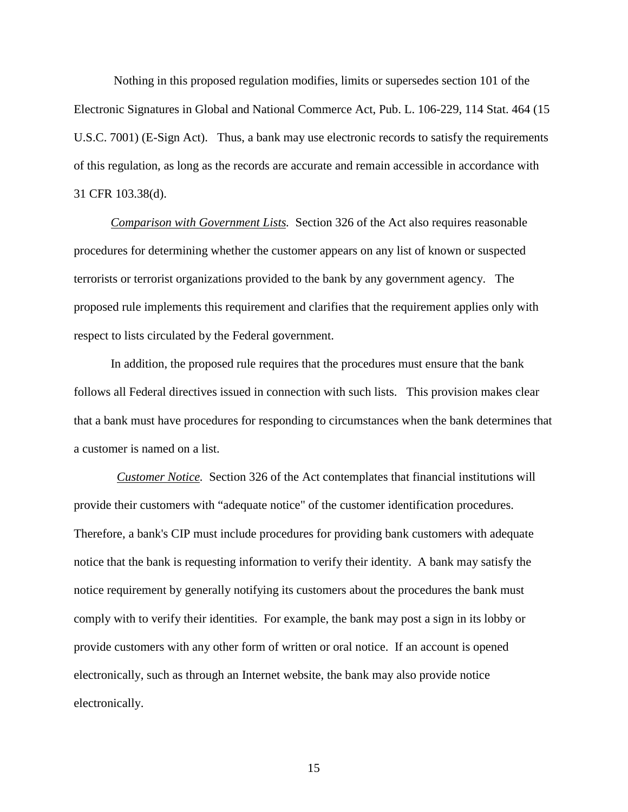Nothing in this proposed regulation modifies, limits or supersedes section 101 of the Electronic Signatures in Global and National Commerce Act, Pub. L. 106-229, 114 Stat. 464 (15 U.S.C. 7001) (E-Sign Act). Thus, a bank may use electronic records to satisfy the requirements of this regulation, as long as the records are accurate and remain accessible in accordance with 31 CFR 103.38(d).

*Comparison with Government Lists.* Section 326 of the Act also requires reasonable procedures for determining whether the customer appears on any list of known or suspected terrorists or terrorist organizations provided to the bank by any government agency. The proposed rule implements this requirement and clarifies that the requirement applies only with respect to lists circulated by the Federal government.

In addition, the proposed rule requires that the procedures must ensure that the bank follows all Federal directives issued in connection with such lists. This provision makes clear that a bank must have procedures for responding to circumstances when the bank determines that a customer is named on a list.

*Customer Notice.* Section 326 of the Act contemplates that financial institutions will provide their customers with "adequate notice" of the customer identification procedures. Therefore, a bank's CIP must include procedures for providing bank customers with adequate notice that the bank is requesting information to verify their identity. A bank may satisfy the notice requirement by generally notifying its customers about the procedures the bank must comply with to verify their identities. For example, the bank may post a sign in its lobby or provide customers with any other form of written or oral notice. If an account is opened electronically, such as through an Internet website, the bank may also provide notice electronically.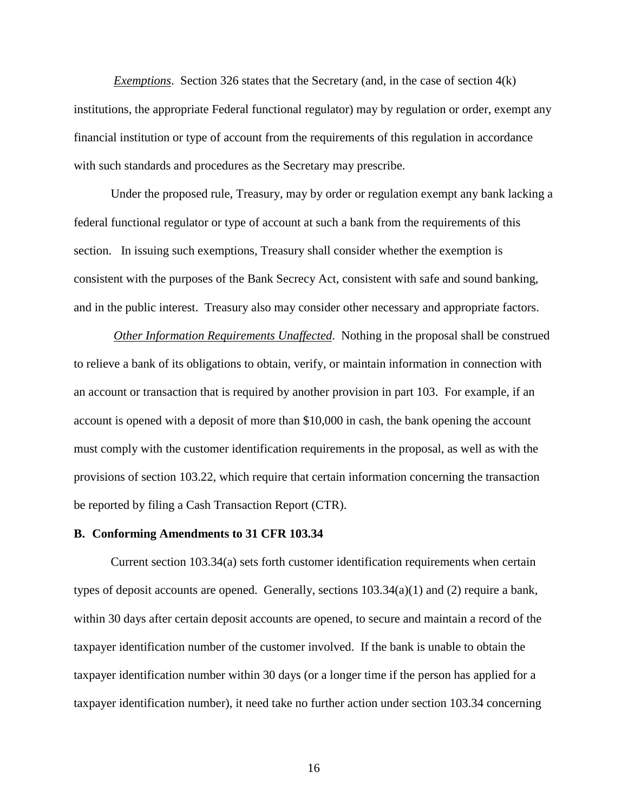*Exemptions.* Section 326 states that the Secretary (and, in the case of section 4(k) institutions, the appropriate Federal functional regulator) may by regulation or order, exempt any financial institution or type of account from the requirements of this regulation in accordance with such standards and procedures as the Secretary may prescribe.

Under the proposed rule, Treasury, may by order or regulation exempt any bank lacking a federal functional regulator or type of account at such a bank from the requirements of this section. In issuing such exemptions, Treasury shall consider whether the exemption is consistent with the purposes of the Bank Secrecy Act, consistent with safe and sound banking, and in the public interest. Treasury also may consider other necessary and appropriate factors.

 *Other Information Requirements Unaffected*. Nothing in the proposal shall be construed to relieve a bank of its obligations to obtain, verify, or maintain information in connection with an account or transaction that is required by another provision in part 103. For example, if an account is opened with a deposit of more than \$10,000 in cash, the bank opening the account must comply with the customer identification requirements in the proposal, as well as with the provisions of section 103.22, which require that certain information concerning the transaction be reported by filing a Cash Transaction Report (CTR).

#### **B. Conforming Amendments to 31 CFR 103.34**

Current section 103.34(a) sets forth customer identification requirements when certain types of deposit accounts are opened. Generally, sections 103.34(a)(1) and (2) require a bank, within 30 days after certain deposit accounts are opened, to secure and maintain a record of the taxpayer identification number of the customer involved. If the bank is unable to obtain the taxpayer identification number within 30 days (or a longer time if the person has applied for a taxpayer identification number), it need take no further action under section 103.34 concerning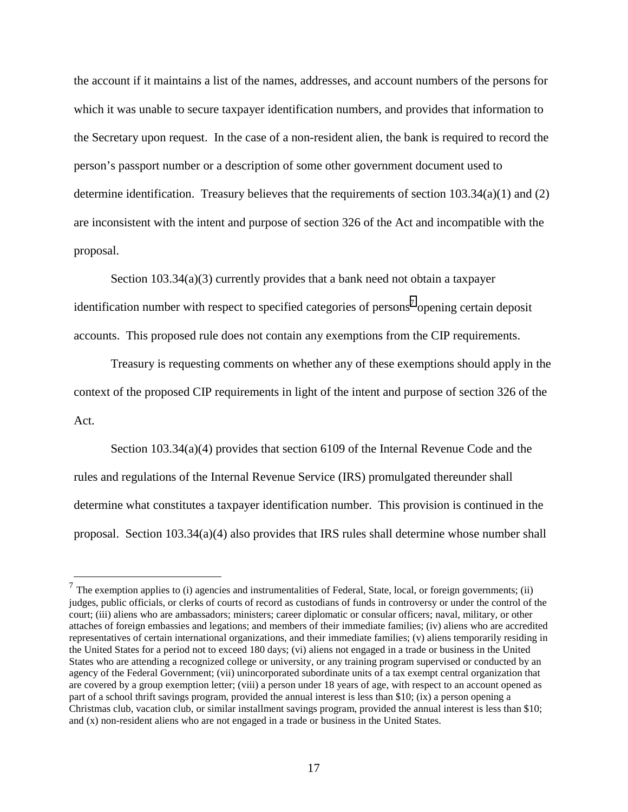the account if it maintains a list of the names, addresses, and account numbers of the persons for which it was unable to secure taxpayer identification numbers, and provides that information to the Secretary upon request. In the case of a non-resident alien, the bank is required to record the person's passport number or a description of some other government document used to determine identification. Treasury believes that the requirements of section  $103.34(a)(1)$  and  $(2)$ are inconsistent with the intent and purpose of section 326 of the Act and incompatible with the proposal.

Section 103.34(a)(3) currently provides that a bank need not obtain a taxpayer identification number with respect to specified categories of persons<sup>7</sup> opening certain deposit accounts. This proposed rule does not contain any exemptions from the CIP requirements.

Treasury is requesting comments on whether any of these exemptions should apply in the context of the proposed CIP requirements in light of the intent and purpose of section 326 of the Act.

Section 103.34(a)(4) provides that section 6109 of the Internal Revenue Code and the rules and regulations of the Internal Revenue Service (IRS) promulgated thereunder shall determine what constitutes a taxpayer identification number. This provision is continued in the proposal. Section 103.34(a)(4) also provides that IRS rules shall determine whose number shall

 $\overline{a}$ 

 $<sup>7</sup>$  The exemption applies to (i) agencies and instrumentalities of Federal, State, local, or foreign governments; (ii)</sup> judges, public officials, or clerks of courts of record as custodians of funds in controversy or under the control of the court; (iii) aliens who are ambassadors; ministers; career diplomatic or consular officers; naval, military, or other attaches of foreign embassies and legations; and members of their immediate families; (iv) aliens who are accredited representatives of certain international organizations, and their immediate families; (v) aliens temporarily residing in the United States for a period not to exceed 180 days; (vi) aliens not engaged in a trade or business in the United States who are attending a recognized college or university, or any training program supervised or conducted by an agency of the Federal Government; (vii) unincorporated subordinate units of a tax exempt central organization that are covered by a group exemption letter; (viii) a person under 18 years of age, with respect to an account opened as part of a school thrift savings program, provided the annual interest is less than \$10; (ix) a person opening a Christmas club, vacation club, or similar installment savings program, provided the annual interest is less than \$10; and (x) non-resident aliens who are not engaged in a trade or business in the United States.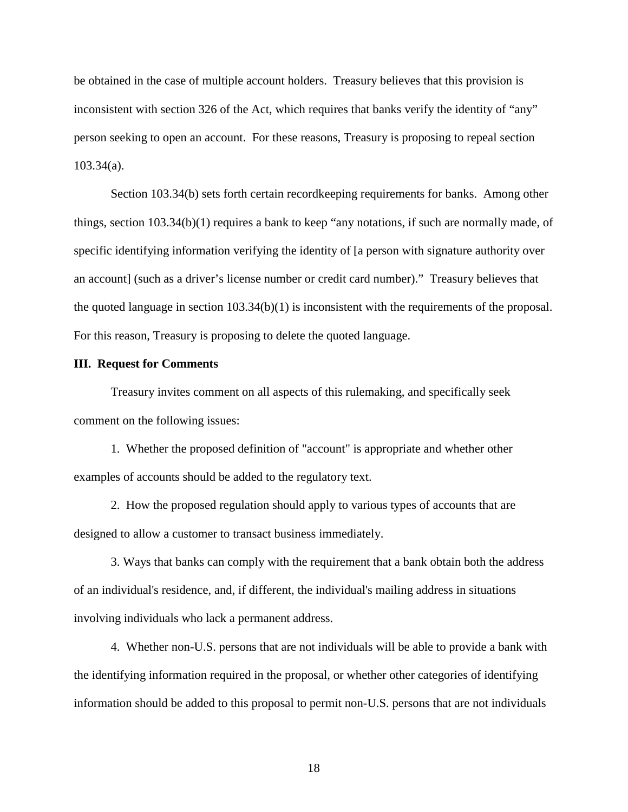be obtained in the case of multiple account holders. Treasury believes that this provision is inconsistent with section 326 of the Act, which requires that banks verify the identity of "any" person seeking to open an account. For these reasons, Treasury is proposing to repeal section 103.34(a).

Section 103.34(b) sets forth certain recordkeeping requirements for banks. Among other things, section 103.34(b)(1) requires a bank to keep "any notations, if such are normally made, of specific identifying information verifying the identity of [a person with signature authority over an account] (such as a driver's license number or credit card number)." Treasury believes that the quoted language in section 103.34(b)(1) is inconsistent with the requirements of the proposal. For this reason, Treasury is proposing to delete the quoted language.

#### **III. Request for Comments**

Treasury invites comment on all aspects of this rulemaking, and specifically seek comment on the following issues:

1. Whether the proposed definition of "account" is appropriate and whether other examples of accounts should be added to the regulatory text.

2. How the proposed regulation should apply to various types of accounts that are designed to allow a customer to transact business immediately.

3. Ways that banks can comply with the requirement that a bank obtain both the address of an individual's residence, and, if different, the individual's mailing address in situations involving individuals who lack a permanent address.

4. Whether non-U.S. persons that are not individuals will be able to provide a bank with the identifying information required in the proposal, or whether other categories of identifying information should be added to this proposal to permit non-U.S. persons that are not individuals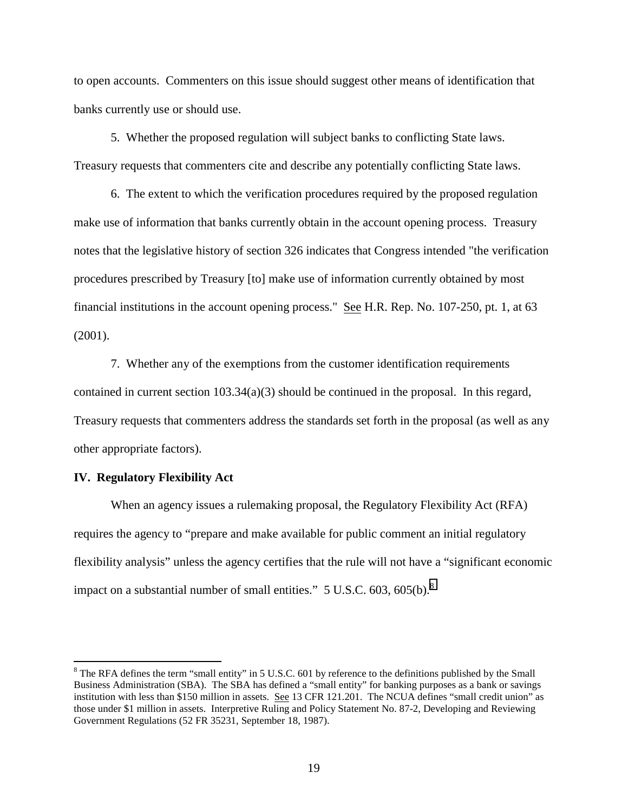to open accounts. Commenters on this issue should suggest other means of identification that banks currently use or should use.

5. Whether the proposed regulation will subject banks to conflicting State laws. Treasury requests that commenters cite and describe any potentially conflicting State laws.

6. The extent to which the verification procedures required by the proposed regulation make use of information that banks currently obtain in the account opening process. Treasury notes that the legislative history of section 326 indicates that Congress intended "the verification procedures prescribed by Treasury [to] make use of information currently obtained by most financial institutions in the account opening process." See H.R. Rep. No. 107-250, pt. 1, at 63 (2001).

7. Whether any of the exemptions from the customer identification requirements contained in current section 103.34(a)(3) should be continued in the proposal. In this regard, Treasury requests that commenters address the standards set forth in the proposal (as well as any other appropriate factors).

### **IV. Regulatory Flexibility Act**

 $\overline{a}$ 

When an agency issues a rulemaking proposal, the Regulatory Flexibility Act (RFA) requires the agency to "prepare and make available for public comment an initial regulatory flexibility analysis" unless the agency certifies that the rule will not have a "significant economic impact on a substantial number of small entities."  $5 \text{ U.S.C. } 603, 605 \text{(b)}$ .

 $8$  The RFA defines the term "small entity" in 5 U.S.C. 601 by reference to the definitions published by the Small Business Administration (SBA). The SBA has defined a "small entity" for banking purposes as a bank or savings institution with less than \$150 million in assets. See 13 CFR 121.201. The NCUA defines "small credit union" as those under \$1 million in assets. Interpretive Ruling and Policy Statement No. 87-2, Developing and Reviewing Government Regulations (52 FR 35231, September 18, 1987).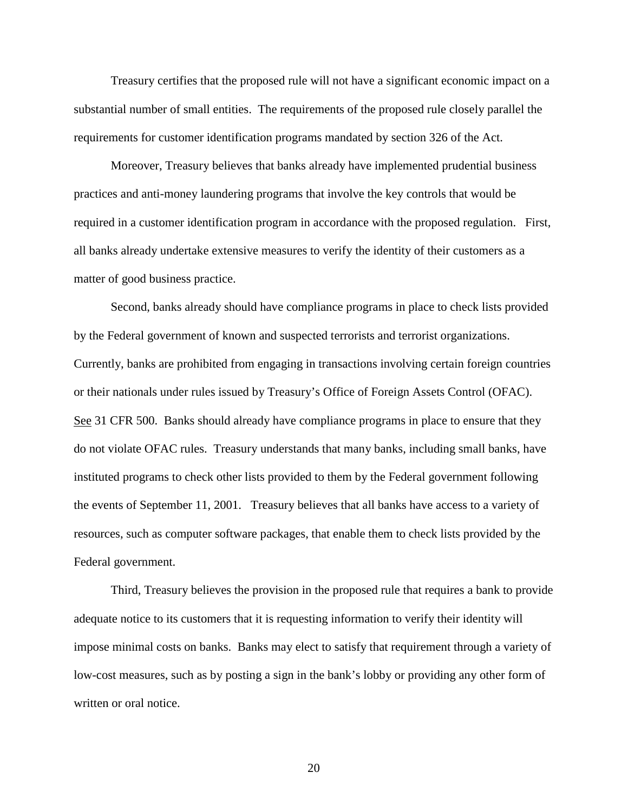Treasury certifies that the proposed rule will not have a significant economic impact on a substantial number of small entities. The requirements of the proposed rule closely parallel the requirements for customer identification programs mandated by section 326 of the Act.

Moreover, Treasury believes that banks already have implemented prudential business practices and anti-money laundering programs that involve the key controls that would be required in a customer identification program in accordance with the proposed regulation. First, all banks already undertake extensive measures to verify the identity of their customers as a matter of good business practice.

Second, banks already should have compliance programs in place to check lists provided by the Federal government of known and suspected terrorists and terrorist organizations. Currently, banks are prohibited from engaging in transactions involving certain foreign countries or their nationals under rules issued by Treasury's Office of Foreign Assets Control (OFAC). See 31 CFR 500. Banks should already have compliance programs in place to ensure that they do not violate OFAC rules. Treasury understands that many banks, including small banks, have instituted programs to check other lists provided to them by the Federal government following the events of September 11, 2001. Treasury believes that all banks have access to a variety of resources, such as computer software packages, that enable them to check lists provided by the Federal government.

Third, Treasury believes the provision in the proposed rule that requires a bank to provide adequate notice to its customers that it is requesting information to verify their identity will impose minimal costs on banks. Banks may elect to satisfy that requirement through a variety of low-cost measures, such as by posting a sign in the bank's lobby or providing any other form of written or oral notice.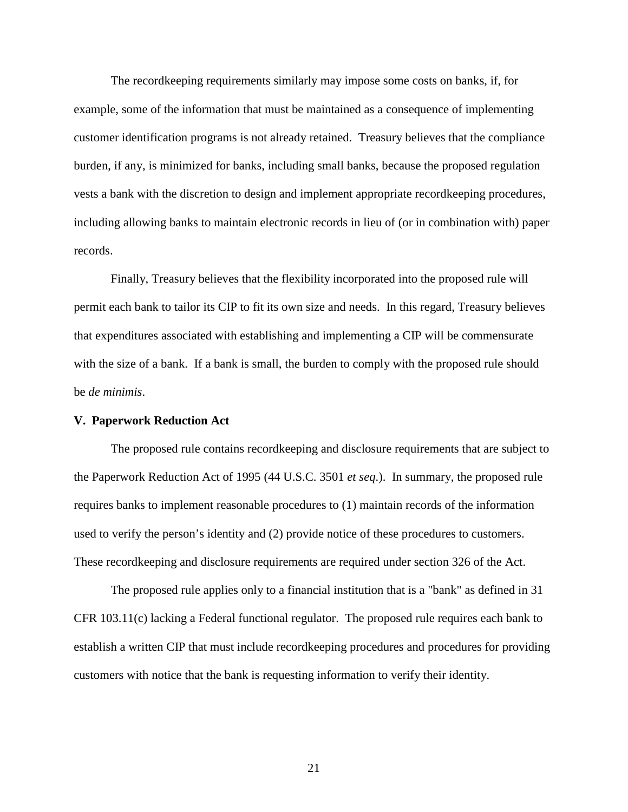The recordkeeping requirements similarly may impose some costs on banks, if, for example, some of the information that must be maintained as a consequence of implementing customer identification programs is not already retained. Treasury believes that the compliance burden, if any, is minimized for banks, including small banks, because the proposed regulation vests a bank with the discretion to design and implement appropriate recordkeeping procedures, including allowing banks to maintain electronic records in lieu of (or in combination with) paper records.

Finally, Treasury believes that the flexibility incorporated into the proposed rule will permit each bank to tailor its CIP to fit its own size and needs. In this regard, Treasury believes that expenditures associated with establishing and implementing a CIP will be commensurate with the size of a bank. If a bank is small, the burden to comply with the proposed rule should be *de minimis*.

#### **V. Paperwork Reduction Act**

The proposed rule contains recordkeeping and disclosure requirements that are subject to the Paperwork Reduction Act of 1995 (44 U.S.C. 3501 *et seq*.). In summary, the proposed rule requires banks to implement reasonable procedures to (1) maintain records of the information used to verify the person's identity and (2) provide notice of these procedures to customers. These recordkeeping and disclosure requirements are required under section 326 of the Act.

The proposed rule applies only to a financial institution that is a "bank" as defined in 31 CFR 103.11(c) lacking a Federal functional regulator. The proposed rule requires each bank to establish a written CIP that must include recordkeeping procedures and procedures for providing customers with notice that the bank is requesting information to verify their identity.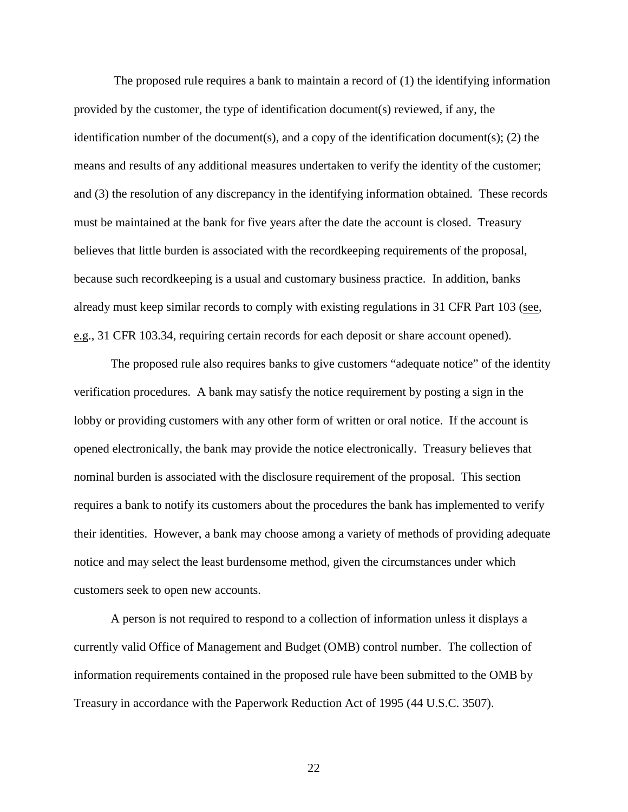The proposed rule requires a bank to maintain a record of (1) the identifying information provided by the customer, the type of identification document(s) reviewed, if any, the identification number of the document(s), and a copy of the identification document(s); (2) the means and results of any additional measures undertaken to verify the identity of the customer; and (3) the resolution of any discrepancy in the identifying information obtained. These records must be maintained at the bank for five years after the date the account is closed. Treasury believes that little burden is associated with the recordkeeping requirements of the proposal, because such recordkeeping is a usual and customary business practice. In addition, banks already must keep similar records to comply with existing regulations in 31 CFR Part 103 (see, e.g., 31 CFR 103.34, requiring certain records for each deposit or share account opened).

The proposed rule also requires banks to give customers "adequate notice" of the identity verification procedures. A bank may satisfy the notice requirement by posting a sign in the lobby or providing customers with any other form of written or oral notice. If the account is opened electronically, the bank may provide the notice electronically. Treasury believes that nominal burden is associated with the disclosure requirement of the proposal. This section requires a bank to notify its customers about the procedures the bank has implemented to verify their identities. However, a bank may choose among a variety of methods of providing adequate notice and may select the least burdensome method, given the circumstances under which customers seek to open new accounts.

A person is not required to respond to a collection of information unless it displays a currently valid Office of Management and Budget (OMB) control number. The collection of information requirements contained in the proposed rule have been submitted to the OMB by Treasury in accordance with the Paperwork Reduction Act of 1995 (44 U.S.C. 3507).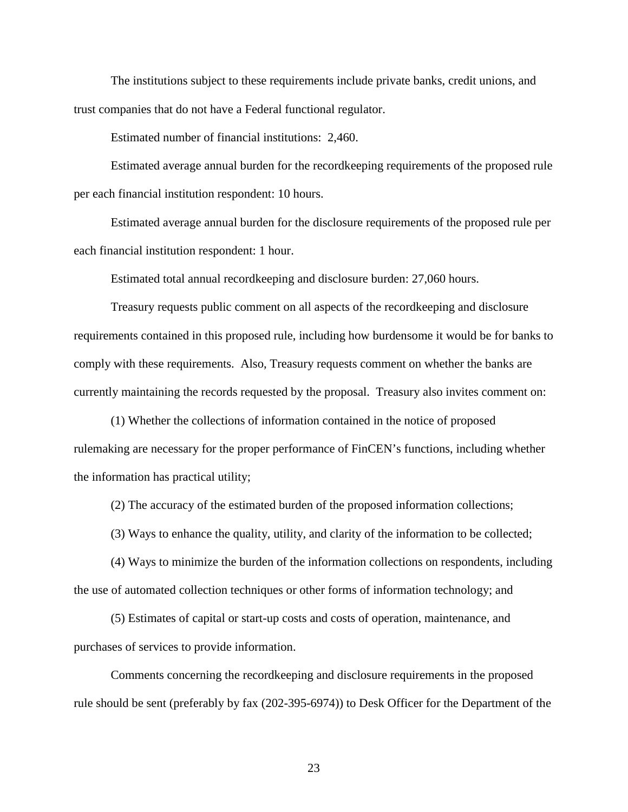The institutions subject to these requirements include private banks, credit unions, and trust companies that do not have a Federal functional regulator.

Estimated number of financial institutions: 2,460.

Estimated average annual burden for the recordkeeping requirements of the proposed rule per each financial institution respondent: 10 hours.

Estimated average annual burden for the disclosure requirements of the proposed rule per each financial institution respondent: 1 hour.

Estimated total annual recordkeeping and disclosure burden: 27,060 hours.

Treasury requests public comment on all aspects of the recordkeeping and disclosure requirements contained in this proposed rule, including how burdensome it would be for banks to comply with these requirements. Also, Treasury requests comment on whether the banks are currently maintaining the records requested by the proposal. Treasury also invites comment on:

(1) Whether the collections of information contained in the notice of proposed rulemaking are necessary for the proper performance of FinCEN's functions, including whether the information has practical utility;

(2) The accuracy of the estimated burden of the proposed information collections;

(3) Ways to enhance the quality, utility, and clarity of the information to be collected;

(4) Ways to minimize the burden of the information collections on respondents, including the use of automated collection techniques or other forms of information technology; and

(5) Estimates of capital or start-up costs and costs of operation, maintenance, and purchases of services to provide information.

Comments concerning the recordkeeping and disclosure requirements in the proposed rule should be sent (preferably by fax (202-395-6974)) to Desk Officer for the Department of the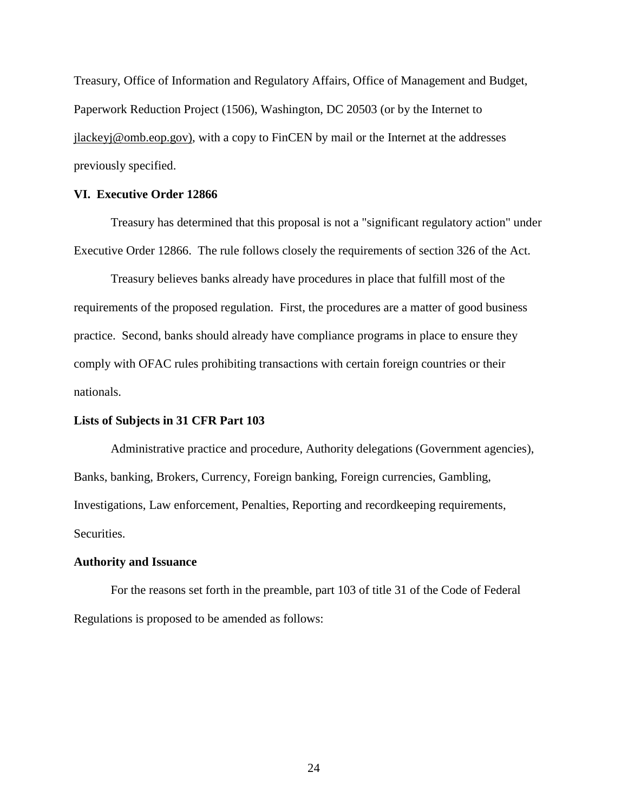Treasury, Office of Information and Regulatory Affairs, Office of Management and Budget, Paperwork Reduction Project (1506), Washington, DC 20503 (or by the Internet to jlackeyj@omb.eop.gov), with a copy to FinCEN by mail or the Internet at the addresses previously specified.

## **VI. Executive Order 12866**

Treasury has determined that this proposal is not a "significant regulatory action" under Executive Order 12866. The rule follows closely the requirements of section 326 of the Act.

Treasury believes banks already have procedures in place that fulfill most of the requirements of the proposed regulation. First, the procedures are a matter of good business practice. Second, banks should already have compliance programs in place to ensure they comply with OFAC rules prohibiting transactions with certain foreign countries or their nationals.

#### **Lists of Subjects in 31 CFR Part 103**

Administrative practice and procedure, Authority delegations (Government agencies), Banks, banking, Brokers, Currency, Foreign banking, Foreign currencies, Gambling, Investigations, Law enforcement, Penalties, Reporting and recordkeeping requirements, Securities.

#### **Authority and Issuance**

For the reasons set forth in the preamble, part 103 of title 31 of the Code of Federal Regulations is proposed to be amended as follows: